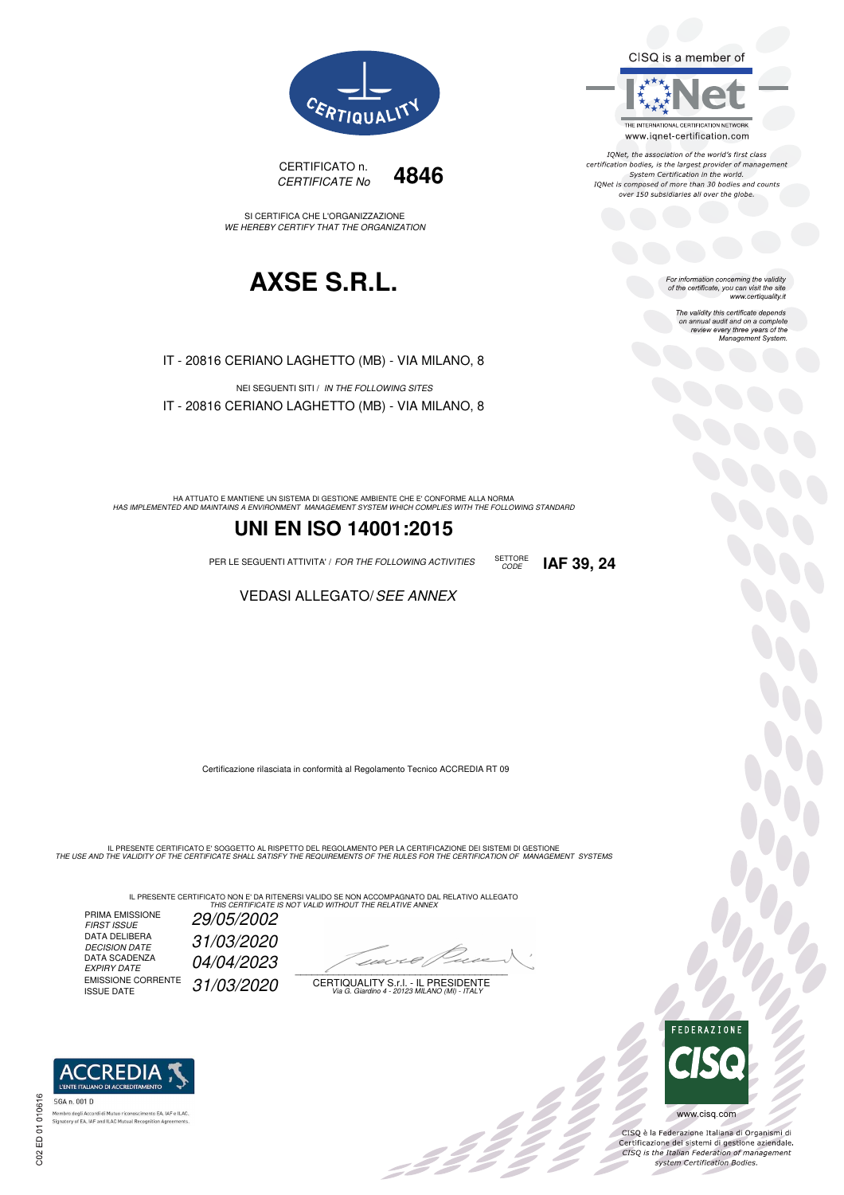CISQ is a member of



IQNet, the association of the world's first class certification bodies, is the largest provider of management System Certification in the world.<br>IQNet is composed of more than 30 bodies and counts over 150 subsidiaries all over the globe.

> For information concerning the validity<br>of the certificate, you can visit the site www.certiquality.it

> > The validity this certificate depends on annual audit and on a complete<br>on annual audit and on a complete<br>review every three years of the<br>Management System.



CERTIFICATO n. CERTIFICATE No **4846** 

SI CERTIFICA CHE L'ORGANIZZAZIONE WE HEREBY CERTIFY THAT THE ORGANIZATION

# **AXSE S.R.L.**

IT - 20816 CERIANO LAGHETTO (MB) - VIA MILANO, 8

NEI SEGUENTI SITI / IN THE FOLLOWING SITES IT - 20816 CERIANO LAGHETTO (MB) - VIA MILANO, 8

HA ATTUATO E MANTIENE UN SISTEMA DI GESTIONE AMBIENTE CHE E' CONFORME ALLA NORMA<br>HAS IMPLEMENTED AND MAINTAINS A ENVIRONMENT MANAGEMENT SYSTEM WHICH COMPLIES WITH THE FOLLOWING STANDARD

## **UNI EN ISO 14001:2015**

PER LE SEGUENTI ATTIVITA' / FOR THE FOLLOWING ACTIVITIES SETTORE

### VEDASI ALLEGATO/SEE ANNEX

Certificazione rilasciata in conformità al Regolamento Tecnico ACCREDIA RT 09

IL PRESENTE CERTIFICATO E' SOGGETTO AL RISPETTO DEL REGOLAMENTO PER LA CERTIFICAZIONE DEI SISTEMI DI GESTIONE<br>THE USE AND THE VALIDITY OF THE CERTIFICATE SHALL SATISFY THE REQUIREMENTS OF THE RULES FOR THE CERTIFICATION OF

IL PRESENTE CERTIFICATO NON E' DA RITENERSI VALIDO SE NON ACCOMPAGNATO DAL RELATIVO ALLEGATO<br>*THIS CERTIFICATE IS NOT VALID WITHOUT THE RELATIVE ANNEX* 

PRIMA EMISSIONE FIRST ISSUE 29/05/2002 DATA DELIBERA 31/03/2020 DECISION DATE<br>DATA SCADENZA<br>EXPIRY DATE 04/04/2023 EMISSIONE CORRENTE<br>ISSUE DATE 31/03/2020

 $\overline{\phantom{a}}$ 

-111

CERTIQUALITY S.r.l. - IL PRESIDENTE Via G. Giardino 4 - 20123 MILANO (MI) - ITALY



33

CISQ è la Federazione Italiana di Organismi di Crista e la Federazione Transma di Organismi di<br>Certificazione dei sistemi di gestione aziendale.<br>CISQ is the Italian Federation of management system Certification Bodies.



 $\infty$ 

CODE **IAF 39, 24**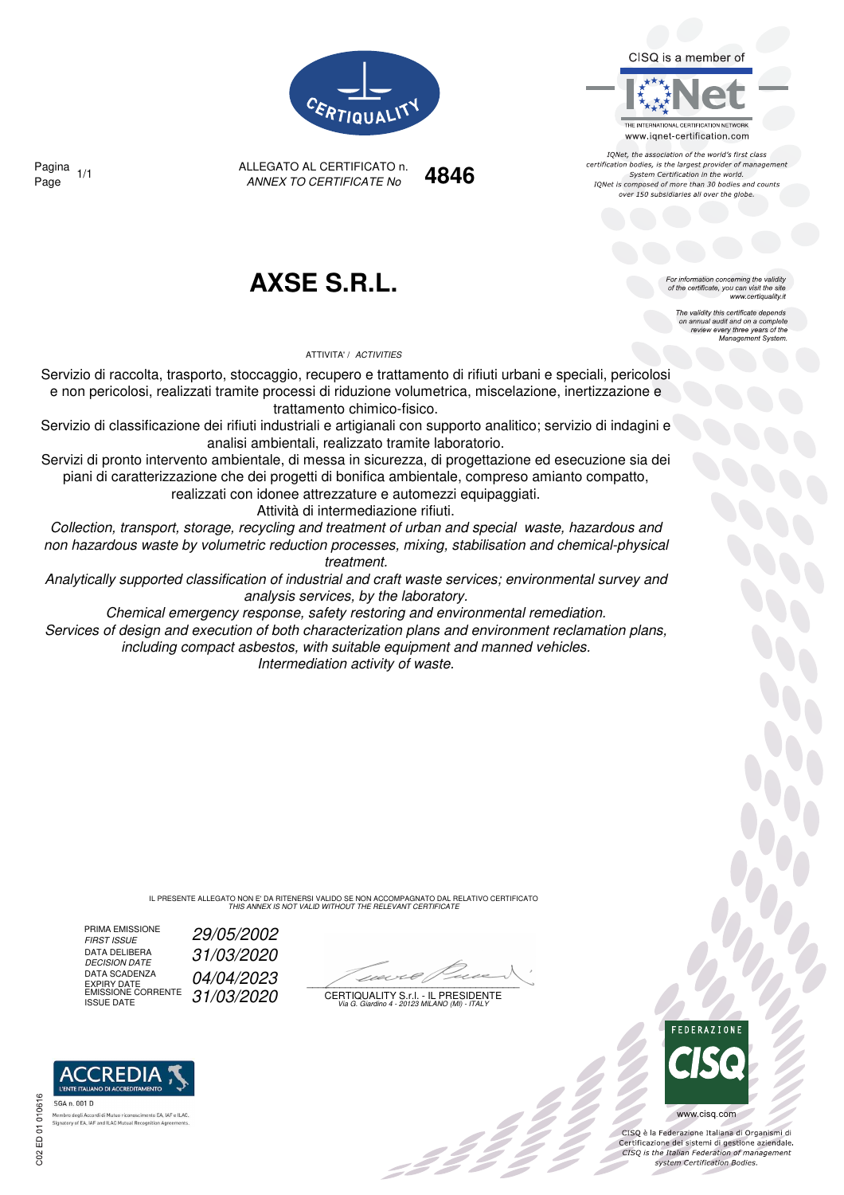CISQ is a member of



IQNet, the association of the world's first class certification bodies, is the largest provider of management System Certification in the world. IONet is composed of more than 30 bodies and counts over 150 subsidiaries all over the globe

> or information concerning the validity of the certificate, you can visit the site

The validity this certificate depends on annual audit and on a complete<br>on annual audit and on a complete<br>review every three years of the<br>Management System.

www.certiquality.it



ANNEX TO CERTIFICATE No Page 1/1 **4846** Pagina

## **AXSE S.R.L.**

ALLEGATO AL CERTIFICATO n.

ATTIVITA' / ACTIVITIES

Servizio di raccolta, trasporto, stoccaggio, recupero e trattamento di rifiuti urbani e speciali, pericolosi e non pericolosi, realizzati tramite processi di riduzione volumetrica, miscelazione, inertizzazione e trattamento chimico-fisico.

Servizio di classificazione dei rifiuti industriali e artigianali con supporto analitico; servizio di indagini e analisi ambientali, realizzato tramite laboratorio.

Servizi di pronto intervento ambientale, di messa in sicurezza, di progettazione ed esecuzione sia dei piani di caratterizzazione che dei progetti di bonifica ambientale, compreso amianto compatto,

realizzati con idonee attrezzature e automezzi equipaggiati.

Attività di intermediazione rifiuti.

Collection, transport, storage, recycling and treatment of urban and special waste, hazardous and non hazardous waste by volumetric reduction processes, mixing, stabilisation and chemical-physical treatment.

Analytically supported classification of industrial and craft waste services; environmental survey and analysis services, by the laboratory.

Chemical emergency response, safety restoring and environmental remediation. Services of design and execution of both characterization plans and environment reclamation plans,

including compact asbestos, with suitable equipment and manned vehicles. Intermediation activity of waste.

> IL PRESENTE ALLEGATO NON E' DA RITENERSI VALIDO SE NON ACCOMPAGNATO DAL RELATIVO CERTIFICATO THIS ANNEX IS NOT VALID WITHOUT THE RELEVANT CERTIFICATE

PRIMA EMISSIONE<br>FIRST ISSUE DATA DELIBERA<br>DECISION DATE DATA SCADENZA

29/05/2002 DECISION DATE 31/03/2020

 $\mathcal{L}$ 

EMISSIONE CORRENTE  $\int 31/03/2020$  certiquality S.f.l. - Il Presidente<br>ISSUE DATE variatino 4 - 20123 MILANO (MI) - ITALY



 $\frac{1}{2}$ 

www.cisq.com

CISO è la Federazione Italiana di Organismi di CISQ e la regerazione italiana di Organismi di<br>Certificazione dei sistemi di gestione aziendale.<br>CISQ is the Italian Federation of management system Certification Bodies.

## **REDIA** SGA n. 001 D Signatory of EA, IAF and ILAC Mu

DATA SCADENZA  $04/04/2023$ <br>
EXPIRY DATE<br>
EMISSIONE CORRENTE  $31/03/2020$  CERTIQUAL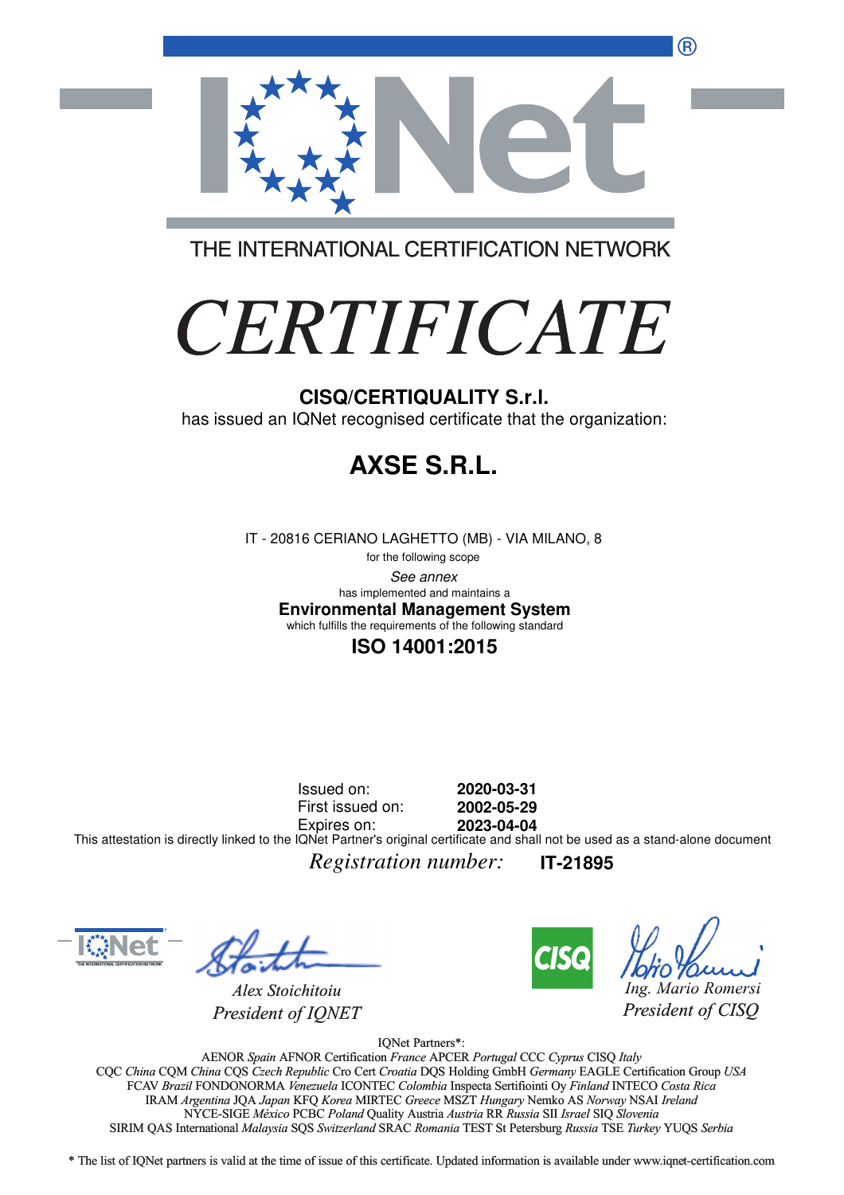®



THE INTERNATIONAL CERTIFICATION NETWORK

# *CERTIFICATE*

has issued an IQNet recognised certificate that the organization:

# **AXSE S.R.L.**

IT - 20816 CERIANO LAGHETTO (MB) - VIA MILANO, 8

for the following scope See annex **Environmental Management System** has implemented and maintains a which fulfills the requirements of the following standard

## **ISO 14001:2015**

Issued on: First issued on: Expires on: **2020-03-31 2002-05-29 2023-04-04** This attestation is directly linked to the IQNet Partner's original certificate and shall not be used as a stand-alone document

*Registration number:* **IT-21895**



*Alex Stoichitoiu President of IQNET*



*Ing. Mario Romersi*

*President of CISQ* 

IQNet Partners\*:

AENOR *Spain* AFNOR Certification *France* APCER *Portugal* CCC *Cyprus* CISQ *Italy* CQC *China* CQM *China* CQS *Czech Republic* Cro Cert *Croatia* DQS Holding GmbH *Germany* EAGLE Certification Group *USA* Cro Cert FCAV *Brazil* FONDONORMA *Venezuela* ICONTEC *Colombia* Inspecta Sertifiointi Oy *Finland* INTECO *Costa Rica* IRAM *Argentina* JQA *Japan* KFQ *Korea* MIRTEC *Greece* MSZT *Hungary* Nemko AS *Norway* NSAI *Ireland* NYCE-SIGE *México* PCBC *Poland* Quality Austria *Austria* RR *Russia* SII *Israel* SIQ *Slovenia* RR SIRIM QAS International *Malaysia* SQS *Switzerland* SRAC *Romania* TEST St Petersburg *Russia* TSE *Turkey* YUQS *Serbia* CISQ/CERTIQUALITY S.r.I.<br>
has issued an IQNet recognised certificate that the organizz<br>
FIT - 20816 CERIANO LAGHETTO (MB) - VIA MILANO, 8<br>
the bisoming scope<br>
this improblement and analysis a<br>
first this under maintains a<br>

\* The list of IQNet partners is valid at the time of issue of this certificate. Updated information is available under www.iqnet-certification.com